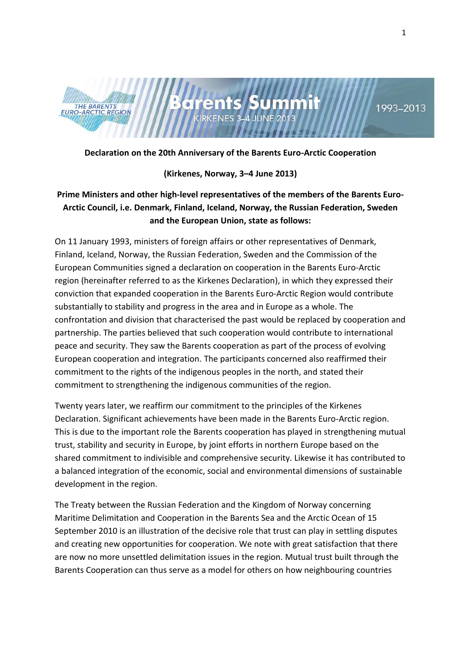



# 1993-2013

## **Declaration on the 20th Anniversary of the Barents Euro-Arctic Cooperation**

#### **(Kirkenes, Norway, 3–4 June 2013)**

# **Prime Ministers and other high-level representatives of the members of the Barents Euro-Arctic Council, i.e. Denmark, Finland, Iceland, Norway, the Russian Federation, Sweden and the European Union, state as follows:**

On 11 January 1993, ministers of foreign affairs or other representatives of Denmark, Finland, Iceland, Norway, the Russian Federation, Sweden and the Commission of the European Communities signed a declaration on cooperation in the Barents Euro-Arctic region (hereinafter referred to as the Kirkenes Declaration), in which they expressed their conviction that expanded cooperation in the Barents Euro-Arctic Region would contribute substantially to stability and progress in the area and in Europe as a whole. The confrontation and division that characterised the past would be replaced by cooperation and partnership. The parties believed that such cooperation would contribute to international peace and security. They saw the Barents cooperation as part of the process of evolving European cooperation and integration. The participants concerned also reaffirmed their commitment to the rights of the indigenous peoples in the north, and stated their commitment to strengthening the indigenous communities of the region.

Twenty years later, we reaffirm our commitment to the principles of the Kirkenes Declaration. Significant achievements have been made in the Barents Euro-Arctic region. This is due to the important role the Barents cooperation has played in strengthening mutual trust, stability and security in Europe, by joint efforts in northern Europe based on the shared commitment to indivisible and comprehensive security. Likewise it has contributed to a balanced integration of the economic, social and environmental dimensions of sustainable development in the region.

The Treaty between the Russian Federation and the Kingdom of Norway concerning Maritime Delimitation and Cooperation in the Barents Sea and the Arctic Ocean of 15 September 2010 is an illustration of the decisive role that trust can play in settling disputes and creating new opportunities for cooperation. We note with great satisfaction that there are now no more unsettled delimitation issues in the region. Mutual trust built through the Barents Cooperation can thus serve as a model for others on how neighbouring countries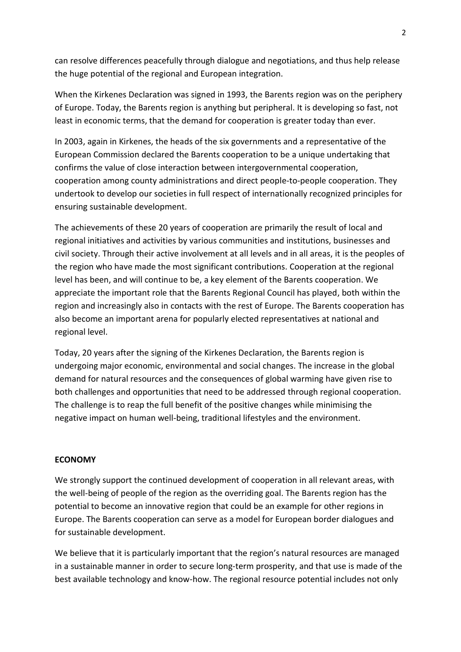can resolve differences peacefully through dialogue and negotiations, and thus help release the huge potential of the regional and European integration.

When the Kirkenes Declaration was signed in 1993, the Barents region was on the periphery of Europe. Today, the Barents region is anything but peripheral. It is developing so fast, not least in economic terms, that the demand for cooperation is greater today than ever.

In 2003, again in Kirkenes, the heads of the six governments and a representative of the European Commission declared the Barents cooperation to be a unique undertaking that confirms the value of close interaction between intergovernmental cooperation, cooperation among county administrations and direct people-to-people cooperation. They undertook to develop our societies in full respect of internationally recognized principles for ensuring sustainable development.

The achievements of these 20 years of cooperation are primarily the result of local and regional initiatives and activities by various communities and institutions, businesses and civil society. Through their active involvement at all levels and in all areas, it is the peoples of the region who have made the most significant contributions. Cooperation at the regional level has been, and will continue to be, a key element of the Barents cooperation. We appreciate the important role that the Barents Regional Council has played, both within the region and increasingly also in contacts with the rest of Europe. The Barents cooperation has also become an important arena for popularly elected representatives at national and regional level.

Today, 20 years after the signing of the Kirkenes Declaration, the Barents region is undergoing major economic, environmental and social changes. The increase in the global demand for natural resources and the consequences of global warming have given rise to both challenges and opportunities that need to be addressed through regional cooperation. The challenge is to reap the full benefit of the positive changes while minimising the negative impact on human well-being, traditional lifestyles and the environment.

# **ECONOMY**

We strongly support the continued development of cooperation in all relevant areas, with the well-being of people of the region as the overriding goal. The Barents region has the potential to become an innovative region that could be an example for other regions in Europe. The Barents cooperation can serve as a model for European border dialogues and for sustainable development.

We believe that it is particularly important that the region's natural resources are managed in a sustainable manner in order to secure long-term prosperity, and that use is made of the best available technology and know-how. The regional resource potential includes not only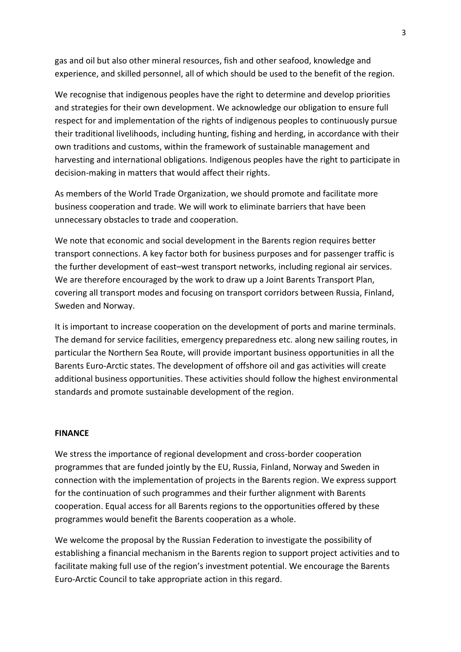gas and oil but also other mineral resources, fish and other seafood, knowledge and experience, and skilled personnel, all of which should be used to the benefit of the region.

We recognise that indigenous peoples have the right to determine and develop priorities and strategies for their own development. We acknowledge our obligation to ensure full respect for and implementation of the rights of indigenous peoples to continuously pursue their traditional livelihoods, including hunting, fishing and herding, in accordance with their own traditions and customs, within the framework of sustainable management and harvesting and international obligations. Indigenous peoples have the right to participate in decision-making in matters that would affect their rights.

As members of the World Trade Organization, we should promote and facilitate more business cooperation and trade. We will work to eliminate barriers that have been unnecessary obstacles to trade and cooperation.

We note that economic and social development in the Barents region requires better transport connections. A key factor both for business purposes and for passenger traffic is the further development of east–west transport networks, including regional air services. We are therefore encouraged by the work to draw up a Joint Barents Transport Plan, covering all transport modes and focusing on transport corridors between Russia, Finland, Sweden and Norway.

It is important to increase cooperation on the development of ports and marine terminals. The demand for service facilities, emergency preparedness etc. along new sailing routes, in particular the Northern Sea Route, will provide important business opportunities in all the Barents Euro-Arctic states. The development of offshore oil and gas activities will create additional business opportunities. These activities should follow the highest environmental standards and promote sustainable development of the region.

#### **FINANCE**

We stress the importance of regional development and cross-border cooperation programmes that are funded jointly by the EU, Russia, Finland, Norway and Sweden in connection with the implementation of projects in the Barents region. We express support for the continuation of such programmes and their further alignment with Barents cooperation. Equal access for all Barents regions to the opportunities offered by these programmes would benefit the Barents cooperation as a whole.

We welcome the proposal by the Russian Federation to investigate the possibility of establishing a financial mechanism in the Barents region to support project activities and to facilitate making full use of the region's investment potential. We encourage the Barents Euro-Arctic Council to take appropriate action in this regard.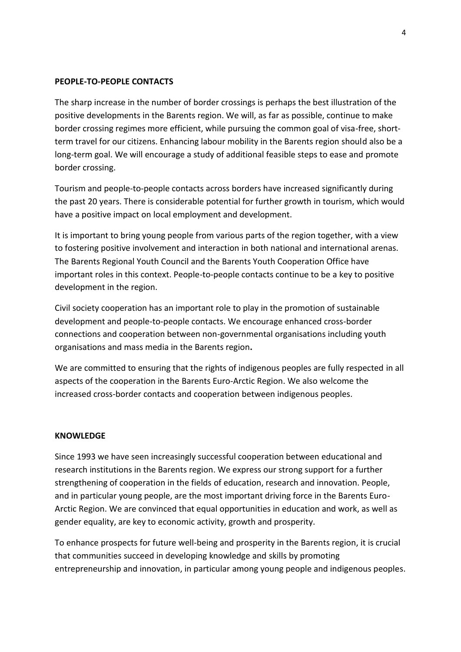## **PEOPLE-TO-PEOPLE CONTACTS**

The sharp increase in the number of border crossings is perhaps the best illustration of the positive developments in the Barents region. We will, as far as possible, continue to make border crossing regimes more efficient, while pursuing the common goal of visa-free, shortterm travel for our citizens. Enhancing labour mobility in the Barents region should also be a long-term goal. We will encourage a study of additional feasible steps to ease and promote border crossing.

Tourism and people-to-people contacts across borders have increased significantly during the past 20 years. There is considerable potential for further growth in tourism, which would have a positive impact on local employment and development.

It is important to bring young people from various parts of the region together, with a view to fostering positive involvement and interaction in both national and international arenas. The Barents Regional Youth Council and the Barents Youth Cooperation Office have important roles in this context. People-to-people contacts continue to be a key to positive development in the region.

Civil society cooperation has an important role to play in the promotion of sustainable development and people-to-people contacts. We encourage enhanced cross-border connections and cooperation between non-governmental organisations including youth organisations and mass media in the Barents region**.**

We are committed to ensuring that the rights of indigenous peoples are fully respected in all aspects of the cooperation in the Barents Euro-Arctic Region. We also welcome the increased cross-border contacts and cooperation between indigenous peoples.

#### **KNOWLEDGE**

Since 1993 we have seen increasingly successful cooperation between educational and research institutions in the Barents region. We express our strong support for a further strengthening of cooperation in the fields of education, research and innovation. People, and in particular young people, are the most important driving force in the Barents Euro-Arctic Region. We are convinced that equal opportunities in education and work, as well as gender equality, are key to economic activity, growth and prosperity.

To enhance prospects for future well-being and prosperity in the Barents region, it is crucial that communities succeed in developing knowledge and skills by promoting entrepreneurship and innovation, in particular among young people and indigenous peoples.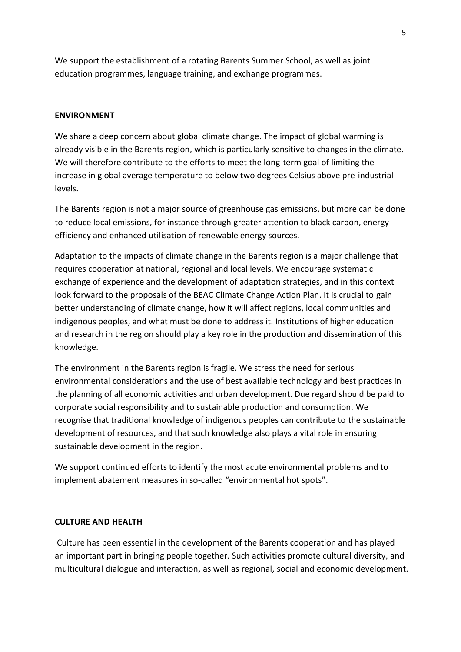We support the establishment of a rotating Barents Summer School, as well as joint education programmes, language training, and exchange programmes.

#### **ENVIRONMENT**

We share a deep concern about global climate change. The impact of global warming is already visible in the Barents region, which is particularly sensitive to changes in the climate. We will therefore contribute to the efforts to meet the long-term goal of limiting the increase in global average temperature to below two degrees Celsius above pre-industrial levels.

The Barents region is not a major source of greenhouse gas emissions, but more can be done to reduce local emissions, for instance through greater attention to black carbon, energy efficiency and enhanced utilisation of renewable energy sources.

Adaptation to the impacts of climate change in the Barents region is a major challenge that requires cooperation at national, regional and local levels. We encourage systematic exchange of experience and the development of adaptation strategies, and in this context look forward to the proposals of the BEAC Climate Change Action Plan. It is crucial to gain better understanding of climate change, how it will affect regions, local communities and indigenous peoples, and what must be done to address it. Institutions of higher education and research in the region should play a key role in the production and dissemination of this knowledge.

The environment in the Barents region is fragile. We stress the need for serious environmental considerations and the use of best available technology and best practices in the planning of all economic activities and urban development. Due regard should be paid to corporate social responsibility and to sustainable production and consumption. We recognise that traditional knowledge of indigenous peoples can contribute to the sustainable development of resources, and that such knowledge also plays a vital role in ensuring sustainable development in the region.

We support continued efforts to identify the most acute environmental problems and to implement abatement measures in so-called "environmental hot spots".

#### **CULTURE AND HEALTH**

Culture has been essential in the development of the Barents cooperation and has played an important part in bringing people together. Such activities promote cultural diversity, and multicultural dialogue and interaction, as well as regional, social and economic development.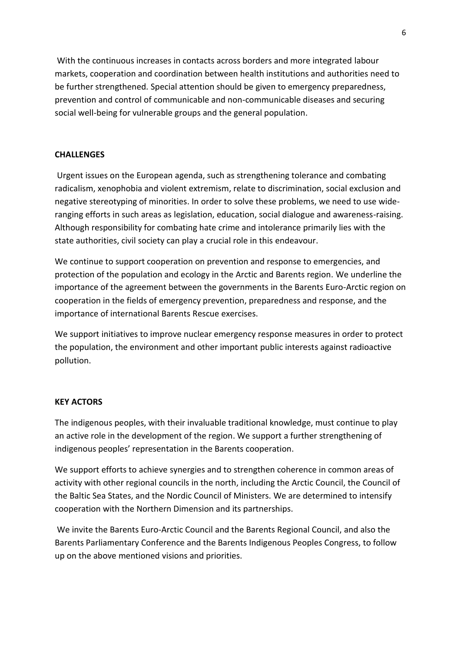With the continuous increases in contacts across borders and more integrated labour markets, cooperation and coordination between health institutions and authorities need to be further strengthened*.* Special attention should be given to emergency preparedness, prevention and control of communicable and non-communicable diseases and securing social well-being for vulnerable groups and the general population.

## **CHALLENGES**

Urgent issues on the European agenda, such as strengthening tolerance and combating radicalism, xenophobia and violent extremism, relate to discrimination, social exclusion and negative stereotyping of minorities. In order to solve these problems, we need to use wideranging efforts in such areas as legislation, education, social dialogue and awareness-raising. Although responsibility for combating hate crime and intolerance primarily lies with the state authorities, civil society can play a crucial role in this endeavour.

We continue to support cooperation on prevention and response to emergencies, and protection of the population and ecology in the Arctic and Barents region. We underline the importance of the agreement between the governments in the Barents Euro-Arctic region on cooperation in the fields of emergency prevention, preparedness and response, and the importance of international Barents Rescue exercises.

We support initiatives to improve nuclear emergency response measures in order to protect the population, the environment and other important public interests against radioactive pollution.

## **KEY ACTORS**

The indigenous peoples, with their invaluable traditional knowledge, must continue to play an active role in the development of the region. We support a further strengthening of indigenous peoples' representation in the Barents cooperation.

We support efforts to achieve synergies and to strengthen coherence in common areas of activity with other regional councils in the north, including the Arctic Council, the Council of the Baltic Sea States, and the Nordic Council of Ministers. We are determined to intensify cooperation with the Northern Dimension and its partnerships.

We invite the Barents Euro-Arctic Council and the Barents Regional Council, and also the Barents Parliamentary Conference and the Barents Indigenous Peoples Congress, to follow up on the above mentioned visions and priorities.